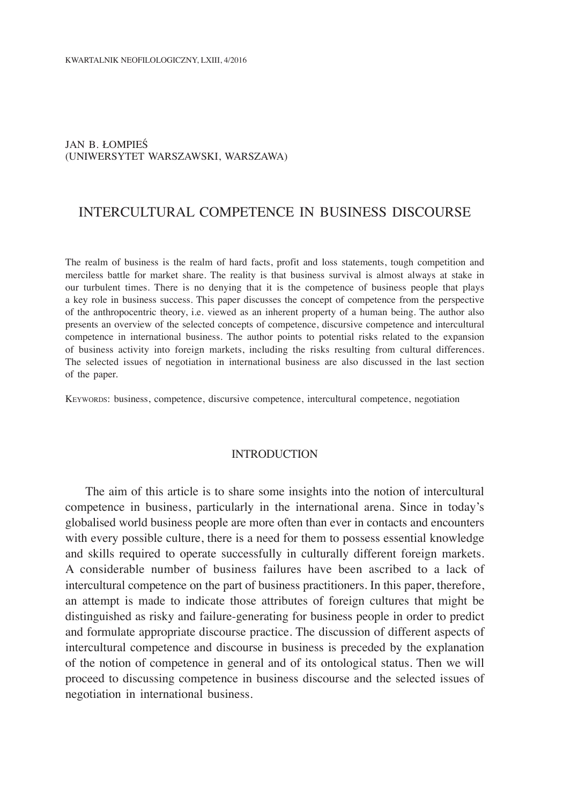### JAN B. ŁOMPIEŚ (UNIWERSYTET WARSZAWSKI, WARSZAWA)

# INTERCULTURAL COMPETENCE IN BUSINESS DISCOURSE

The realm of business is the realm of hard facts, profit and loss statements, tough competition and merciless battle for market share. The reality is that business survival is almost always at stake in our turbulent times. There is no denying that it is the competence of business people that plays a key role in business success. This paper discusses the concept of competence from the perspective of the anthropocentric theory, i.e. viewed as an inherent property of a human being. The author also presents an overview of the selected concepts of competence, discursive competence and intercultural competence in international business. The author points to potential risks related to the expansion of business activity into foreign markets, including the risks resulting from cultural differences. The selected issues of negotiation in international business are also discussed in the last section of the paper.

KEYWORDS: business, competence, discursive competence, intercultural competence, negotiation

## **INTRODUCTION**

The aim of this article is to share some insights into the notion of intercultural competence in business, particularly in the international arena. Since in today's globalised world business people are more often than ever in contacts and encounters with every possible culture, there is a need for them to possess essential knowledge and skills required to operate successfully in culturally different foreign markets. A considerable number of business failures have been ascribed to a lack of intercultural competence on the part of business practitioners. In this paper, therefore, an attempt is made to indicate those attributes of foreign cultures that might be distinguished as risky and failure-generating for business people in order to predict and formulate appropriate discourse practice. The discussion of different aspects of intercultural competence and discourse in business is preceded by the explanation of the notion of competence in general and of its ontological status. Then we will proceed to discussing competence in business discourse and the selected issues of negotiation in international business.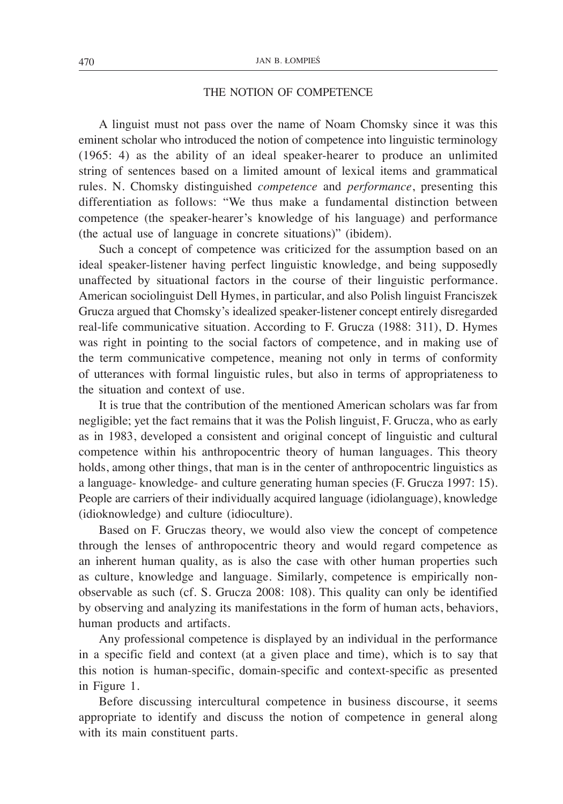## THE NOTION OF COMPETENCE

A linguist must not pass over the name of Noam Chomsky since it was this eminent scholar who introduced the notion of competence into linguistic terminology (1965: 4) as the ability of an ideal speaker-hearer to produce an unlimited string of sentences based on a limited amount of lexical items and grammatical rules. N. Chomsky distinguished *competence* and *performance*, presenting this differentiation as follows: "We thus make a fundamental distinction between competence (the speaker-hearer's knowledge of his language) and performance (the actual use of language in concrete situations)" (ibidem).

Such a concept of competence was criticized for the assumption based on an ideal speaker-listener having perfect linguistic knowledge, and being supposedly unaffected by situational factors in the course of their linguistic performance. American sociolinguist Dell Hymes, in particular, and also Polish linguist Franciszek Grucza argued that Chomsky's idealized speaker-listener concept entirely disregarded real-life communicative situation. According to F. Grucza (1988: 311), D. Hymes was right in pointing to the social factors of competence, and in making use of the term communicative competence, meaning not only in terms of conformity of utterances with formal linguistic rules, but also in terms of appropriateness to the situation and context of use.

It is true that the contribution of the mentioned American scholars was far from negligible; yet the fact remains that it was the Polish linguist, F. Grucza, who as early as in 1983, developed a consistent and original concept of linguistic and cultural competence within his anthropocentric theory of human languages. This theory holds, among other things, that man is in the center of anthropocentric linguistics as a language- knowledge- and culture generating human species (F. Grucza 1997: 15). People are carriers of their individually acquired language (idiolanguage), knowledge (idioknowledge) and culture (idioculture).

Based on F. Gruczas theory, we would also view the concept of competence through the lenses of anthropocentric theory and would regard competence as an inherent human quality, as is also the case with other human properties such as culture, knowledge and language. Similarly, competence is empirically nonobservable as such (cf. S. Grucza 2008: 108). This quality can only be identified by observing and analyzing its manifestations in the form of human acts, behaviors, human products and artifacts.

Any professional competence is displayed by an individual in the performance in a specific field and context (at a given place and time), which is to say that this notion is human-specific, domain-specific and context-specific as presented in Figure 1.

Before discussing intercultural competence in business discourse, it seems appropriate to identify and discuss the notion of competence in general along with its main constituent parts.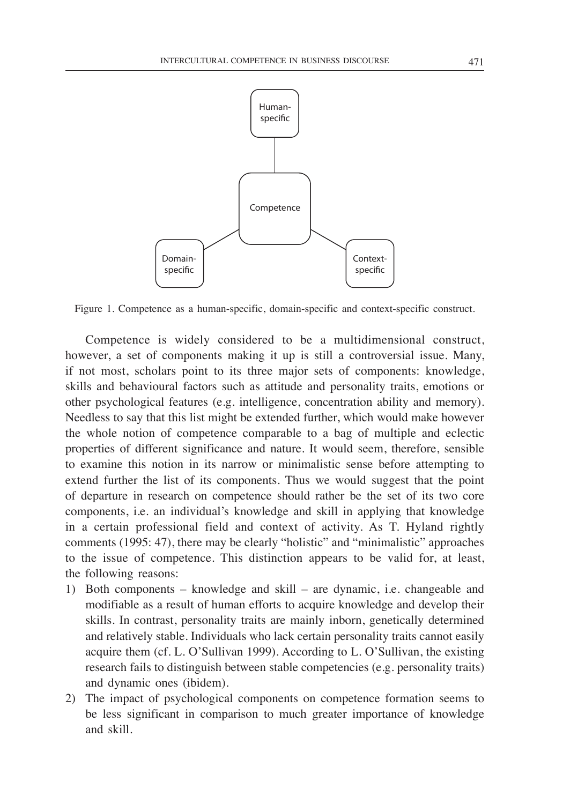

Figure 1. Competence as a human-specific, domain-specific and context-specific construct.

Competence is widely considered to be a multidimensional construct, however, a set of components making it up is still a controversial issue. Many, if not most, scholars point to its three major sets of components: knowledge, skills and behavioural factors such as attitude and personality traits, emotions or other psychological features (e.g. intelligence, concentration ability and memory). Needless to say that this list might be extended further, which would make however the whole notion of competence comparable to a bag of multiple and eclectic properties of different significance and nature. It would seem, therefore, sensible to examine this notion in its narrow or minimalistic sense before attempting to extend further the list of its components. Thus we would suggest that the point of departure in research on competence should rather be the set of its two core components, i.e. an individual's knowledge and skill in applying that knowledge in a certain professional field and context of activity. As T. Hyland rightly comments (1995: 47), there may be clearly "holistic" and "minimalistic" approaches to the issue of competence. This distinction appears to be valid for, at least, the following reasons:

- 1) Both components knowledge and skill are dynamic, i.e. changeable and modifiable as a result of human efforts to acquire knowledge and develop their skills. In contrast, personality traits are mainly inborn, genetically determined and relatively stable. Individuals who lack certain personality traits cannot easily acquire them (cf. L. O'Sullivan 1999). According to L. O'Sullivan, the existing research fails to distinguish between stable competencies (e.g. personality traits) and dynamic ones (ibidem).
- 2) The impact of psychological components on competence formation seems to be less significant in comparison to much greater importance of knowledge and skill.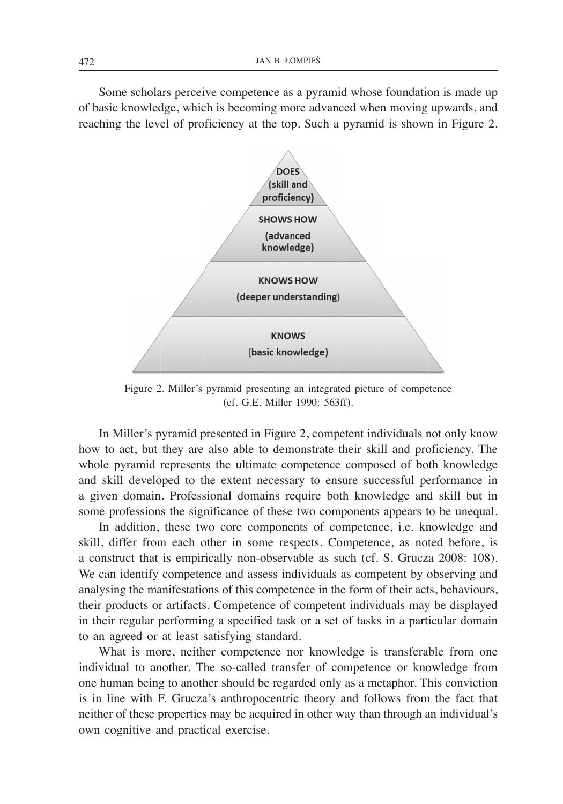Some scholars perceive competence as a pyramid whose foundation is made up of basic knowledge, which is becoming more advanced when moving upwards, and reaching the level of proficiency at the top. Such a pyramid is shown in Figure 2.



Figure 2. Miller's pyramid presenting an integrated picture of competence (cf. G.E. Miller 1990: 563ff).

In Miller's pyramid presented in Figure 2, competent individuals not only know how to act, but they are also able to demonstrate their skill and proficiency. The whole pyramid represents the ultimate competence composed of both knowledge and skill developed to the extent necessary to ensure successful performance in a given domain. Professional domains require both knowledge and skill but in some professions the significance of these two components appears to be unequal.

In addition, these two core components of competence, i.e. knowledge and skill, differ from each other in some respects. Competence, as noted before, is a construct that is empirically non-observable as such (cf. S. Grucza 2008: 108). We can identify competence and assess individuals as competent by observing and analysing the manifestations of this competence in the form of their acts, behaviours, their products or artifacts. Competence of competent individuals may be displayed in their regular performing a specified task or a set of tasks in a particular domain to an agreed or at least satisfying standard.

What is more, neither competence nor knowledge is transferable from one individual to another. The so-called transfer of competence or knowledge from one human being to another should be regarded only as a metaphor. This conviction is in line with F. Grucza's anthropocentric theory and follows from the fact that neither of these properties may be acquired in other way than through an individual's own cognitive and practical exercise.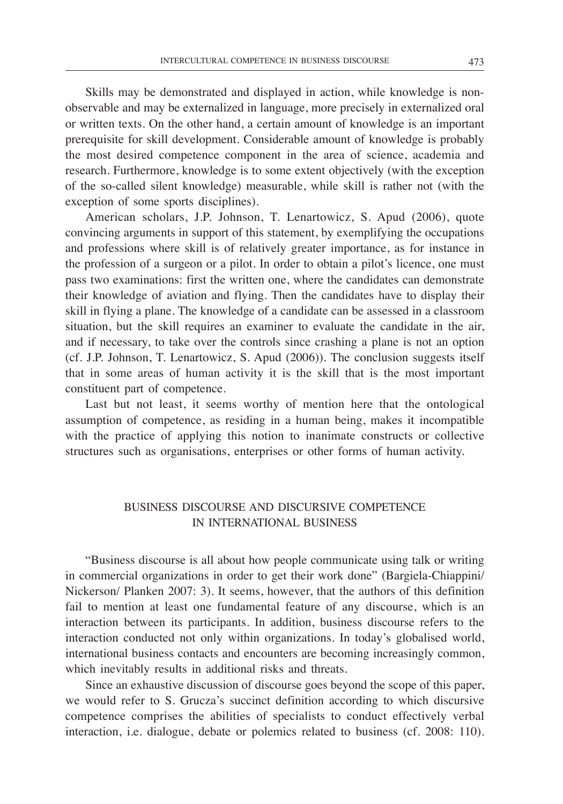Skills may be demonstrated and displayed in action, while knowledge is nonobservable and may be externalized in language, more precisely in externalized oral or written texts. On the other hand, a certain amount of knowledge is an important prerequisite for skill development. Considerable amount of knowledge is probably the most desired competence component in the area of science, academia and research. Furthermore, knowledge is to some extent objectively (with the exception of the so-called silent knowledge) measurable, while skill is rather not (with the exception of some sports disciplines).

American scholars, J.P. Johnson, T. Lenartowicz, S. Apud (2006), quote convincing arguments in support of this statement, by exemplifying the occupations and professions where skill is of relatively greater importance, as for instance in the profession of a surgeon or a pilot. In order to obtain a pilot's licence, one must pass two examinations: first the written one, where the candidates can demonstrate their knowledge of aviation and flying. Then the candidates have to display their skill in flying a plane. The knowledge of a candidate can be assessed in a classroom situation, but the skill requires an examiner to evaluate the candidate in the air, and if necessary, to take over the controls since crashing a plane is not an option (cf. J.P. Johnson, T. Lenartowicz, S. Apud (2006)). The conclusion suggests itself that in some areas of human activity it is the skill that is the most important constituent part of competence.

Last but not least, it seems worthy of mention here that the ontological assumption of competence, as residing in a human being, makes it incompatible with the practice of applying this notion to inanimate constructs or collective structures such as organisations, enterprises or other forms of human activity.

# BUSINESS DISCOURSE AND DISCURSIVE COMPETENCE IN INTERNATIONAL BUSINESS

"Business discourse is all about how people communicate using talk or writing in commercial organizations in order to get their work done" (Bargiela-Chiappini/ Nickerson/ Planken 2007: 3). It seems, however, that the authors of this definition fail to mention at least one fundamental feature of any discourse, which is an interaction between its participants. In addition, business discourse refers to the interaction conducted not only within organizations. In today's globalised world, international business contacts and encounters are becoming increasingly common, which inevitably results in additional risks and threats.

Since an exhaustive discussion of discourse goes beyond the scope of this paper, we would refer to S. Grucza's succinct definition according to which discursive competence comprises the abilities of specialists to conduct effectively verbal interaction, i.e. dialogue, debate or polemics related to business (cf. 2008: 110).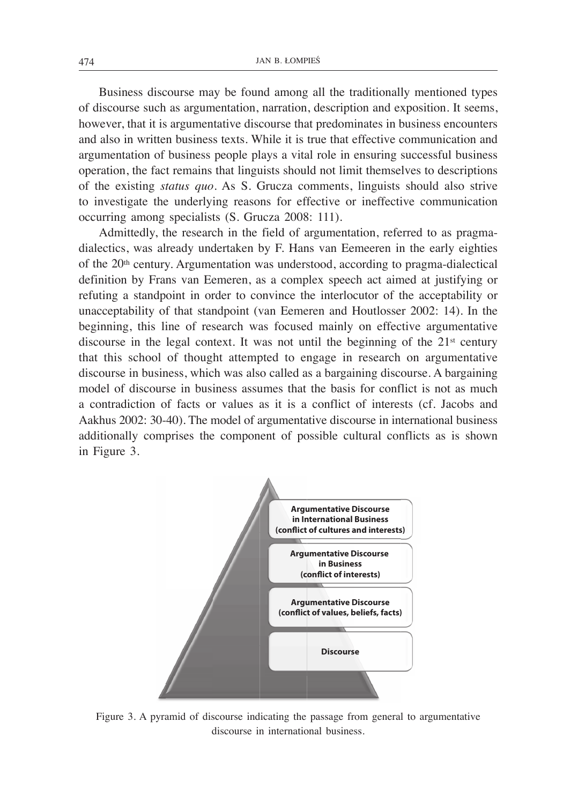Business discourse may be found among all the traditionally mentioned types of discourse such as argumentation, narration, description and exposition. It seems, however, that it is argumentative discourse that predominates in business encounters and also in written business texts. While it is true that effective communication and argumentation of business people plays a vital role in ensuring successful business operation, the fact remains that linguists should not limit themselves to descriptions of the existing *status quo*. As S. Grucza comments, linguists should also strive to investigate the underlying reasons for effective or ineffective communication occurring among specialists (S. Grucza 2008: 111).

Admittedly, the research in the field of argumentation, referred to as pragmadialectics, was already undertaken by F. Hans van Eemeeren in the early eighties of the 20th century. Argumentation was understood, according to pragma-dialectical definition by Frans van Eemeren, as a complex speech act aimed at justifying or refuting a standpoint in order to convince the interlocutor of the acceptability or unacceptability of that standpoint (van Eemeren and Houtlosser 2002: 14). In the beginning, this line of research was focused mainly on effective argumentative discourse in the legal context. It was not until the beginning of the  $21<sup>st</sup>$  century that this school of thought attempted to engage in research on argumentative discourse in business, which was also called as a bargaining discourse. A bargaining model of discourse in business assumes that the basis for conflict is not as much a contradiction of facts or values as it is a conflict of interests (cf. Jacobs and Aakhus 2002: 30-40). The model of argumentative discourse in international business additionally comprises the component of possible cultural conflicts as is shown in Figure 3.



Figure 3. A pyramid of discourse indicating the passage from general to argumentative discourse in international business.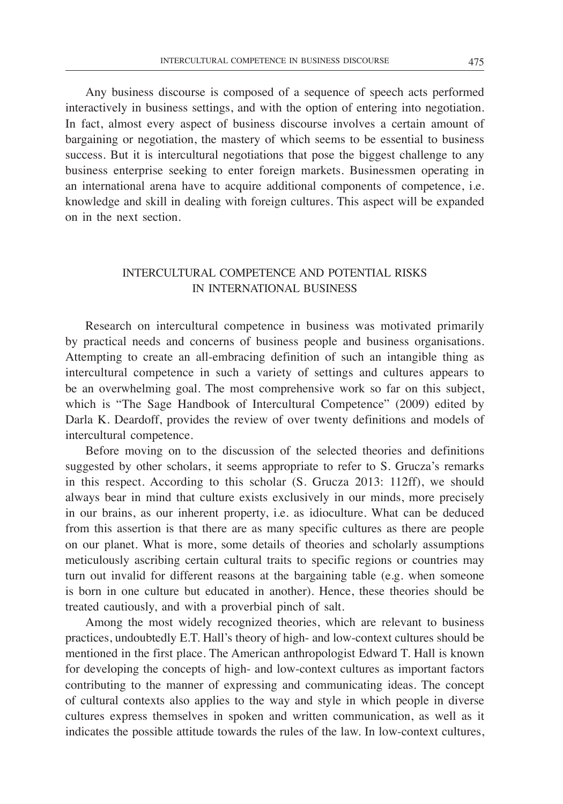Any business discourse is composed of a sequence of speech acts performed interactively in business settings, and with the option of entering into negotiation. In fact, almost every aspect of business discourse involves a certain amount of bargaining or negotiation, the mastery of which seems to be essential to business success. But it is intercultural negotiations that pose the biggest challenge to any business enterprise seeking to enter foreign markets. Businessmen operating in an international arena have to acquire additional components of competence, i.e. knowledge and skill in dealing with foreign cultures. This aspect will be expanded on in the next section.

## INTERCULTURAL COMPETENCE AND POTENTIAL RISKS IN INTERNATIONAL BUSINESS

Research on intercultural competence in business was motivated primarily by practical needs and concerns of business people and business organisations. Attempting to create an all-embracing definition of such an intangible thing as intercultural competence in such a variety of settings and cultures appears to be an overwhelming goal. The most comprehensive work so far on this subject, which is "The Sage Handbook of Intercultural Competence" (2009) edited by Darla K. Deardoff, provides the review of over twenty definitions and models of intercultural competence.

Before moving on to the discussion of the selected theories and definitions suggested by other scholars, it seems appropriate to refer to S. Grucza's remarks in this respect. According to this scholar (S. Grucza 2013: 112ff), we should always bear in mind that culture exists exclusively in our minds, more precisely in our brains, as our inherent property, i.e. as idioculture. What can be deduced from this assertion is that there are as many specific cultures as there are people on our planet. What is more, some details of theories and scholarly assumptions meticulously ascribing certain cultural traits to specific regions or countries may turn out invalid for different reasons at the bargaining table (e.g. when someone is born in one culture but educated in another). Hence, these theories should be treated cautiously, and with a proverbial pinch of salt.

Among the most widely recognized theories, which are relevant to business practices, undoubtedly E.T. Hall's theory of high- and low-context cultures should be mentioned in the first place. The American anthropologist Edward T. Hall is known for developing the concepts of high- and low-context cultures as important factors contributing to the manner of expressing and communicating ideas. The concept of cultural contexts also applies to the way and style in which people in diverse cultures express themselves in spoken and written communication, as well as it indicates the possible attitude towards the rules of the law. In low-context cultures,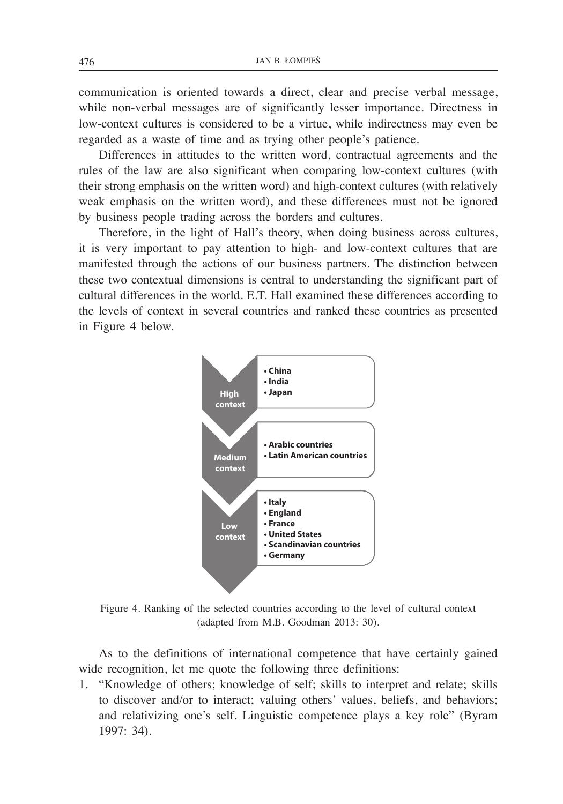communication is oriented towards a direct, clear and precise verbal message, while non-verbal messages are of significantly lesser importance. Directness in low-context cultures is considered to be a virtue, while indirectness may even be regarded as a waste of time and as trying other people's patience.

Differences in attitudes to the written word, contractual agreements and the rules of the law are also significant when comparing low-context cultures (with their strong emphasis on the written word) and high-context cultures (with relatively weak emphasis on the written word), and these differences must not be ignored by business people trading across the borders and cultures.

Therefore, in the light of Hall's theory, when doing business across cultures, it is very important to pay attention to high- and low-context cultures that are manifested through the actions of our business partners. The distinction between these two contextual dimensions is central to understanding the significant part of cultural differences in the world. E.T. Hall examined these differences according to the levels of context in several countries and ranked these countries as presented in Figure 4 below.



Figure 4. Ranking of the selected countries according to the level of cultural context (adapted from M.B. Goodman 2013: 30).

As to the definitions of international competence that have certainly gained wide recognition, let me quote the following three definitions:

1. "Knowledge of others; knowledge of self; skills to interpret and relate; skills to discover and/or to interact; valuing others' values, beliefs, and behaviors; and relativizing one's self. Linguistic competence plays a key role" (Byram 1997: 34).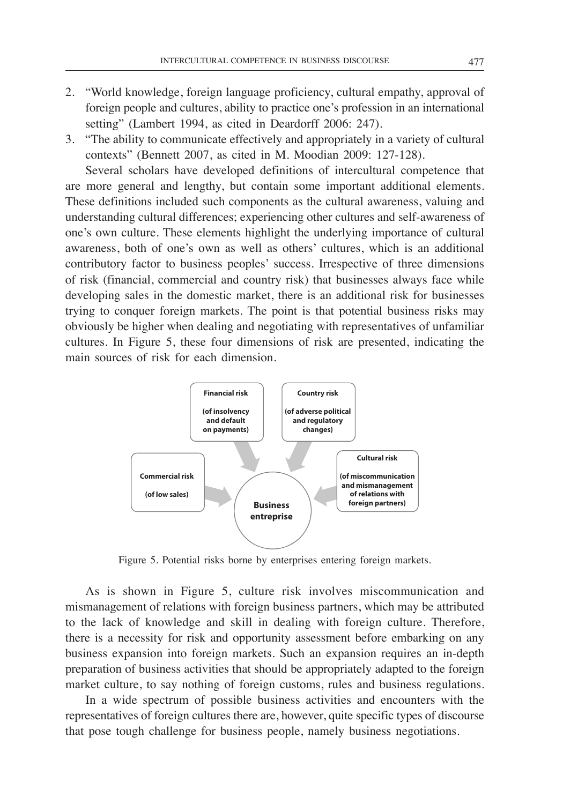- 2. "World knowledge, foreign language proficiency, cultural empathy, approval of foreign people and cultures, ability to practice one's profession in an international setting" (Lambert 1994, as cited in Deardorff 2006: 247).
- 3. "The ability to communicate effectively and appropriately in a variety of cultural contexts" (Bennett 2007, as cited in M. Moodian 2009: 127-128).

Several scholars have developed definitions of intercultural competence that are more general and lengthy, but contain some important additional elements. These definitions included such components as the cultural awareness, valuing and understanding cultural differences; experiencing other cultures and self-awareness of one's own culture. These elements highlight the underlying importance of cultural awareness, both of one's own as well as others' cultures, which is an additional contributory factor to business peoples' success. Irrespective of three dimensions of risk (financial, commercial and country risk) that businesses always face while developing sales in the domestic market, there is an additional risk for businesses trying to conquer foreign markets. The point is that potential business risks may obviously be higher when dealing and negotiating with representatives of unfamiliar cultures. In Figure 5, these four dimensions of risk are presented, indicating the main sources of risk for each dimension.



Figure 5. Potential risks borne by enterprises entering foreign markets.

As is shown in Figure 5, culture risk involves miscommunication and mismanagement of relations with foreign business partners, which may be attributed to the lack of knowledge and skill in dealing with foreign culture. Therefore, there is a necessity for risk and opportunity assessment before embarking on any business expansion into foreign markets. Such an expansion requires an in-depth preparation of business activities that should be appropriately adapted to the foreign market culture, to say nothing of foreign customs, rules and business regulations.

In a wide spectrum of possible business activities and encounters with the representatives of foreign cultures there are, however, quite specific types of discourse that pose tough challenge for business people, namely business negotiations.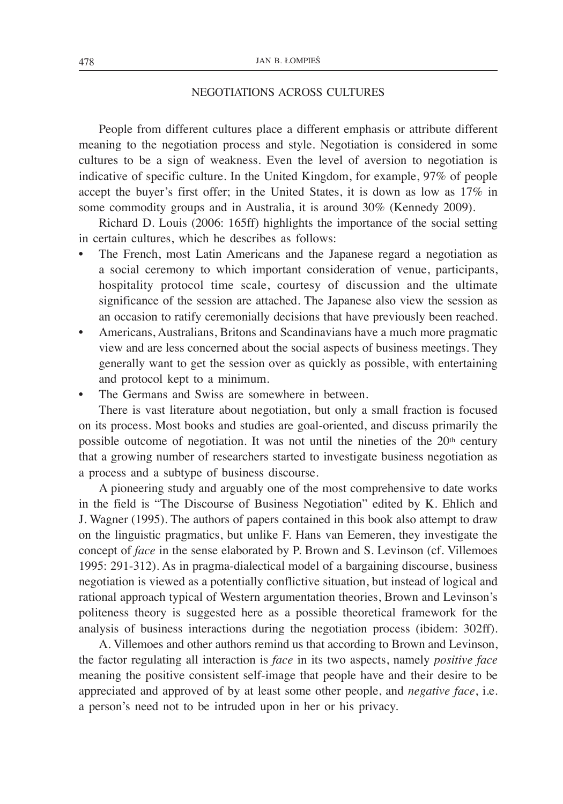## NEGOTIATIONS ACROSS CULTURES

People from different cultures place a different emphasis or attribute different meaning to the negotiation process and style. Negotiation is considered in some cultures to be a sign of weakness. Even the level of aversion to negotiation is indicative of specific culture. In the United Kingdom, for example, 97% of people accept the buyer's first offer; in the United States, it is down as low as 17% in some commodity groups and in Australia, it is around 30% (Kennedy 2009).

Richard D. Louis (2006: 165ff) highlights the importance of the social setting in certain cultures, which he describes as follows:

- The French, most Latin Americans and the Japanese regard a negotiation as a social ceremony to which important consideration of venue, participants, hospitality protocol time scale, courtesy of discussion and the ultimate significance of the session are attached. The Japanese also view the session as an occasion to ratify ceremonially decisions that have previously been reached.
- Americans, Australians, Britons and Scandinavians have a much more pragmatic view and are less concerned about the social aspects of business meetings. They generally want to get the session over as quickly as possible, with entertaining and protocol kept to a minimum.
- The Germans and Swiss are somewhere in between.

There is vast literature about negotiation, but only a small fraction is focused on its process. Most books and studies are goal-oriented, and discuss primarily the possible outcome of negotiation. It was not until the nineties of the 20<sup>th</sup> century that a growing number of researchers started to investigate business negotiation as a process and a subtype of business discourse.

A pioneering study and arguably one of the most comprehensive to date works in the field is "The Discourse of Business Negotiation" edited by K. Ehlich and J. Wagner (1995). The authors of papers contained in this book also attempt to draw on the linguistic pragmatics, but unlike F. Hans van Eemeren, they investigate the concept of *face* in the sense elaborated by P. Brown and S. Levinson (cf. Villemoes 1995: 291-312). As in pragma-dialectical model of a bargaining discourse, business negotiation is viewed as a potentially conflictive situation, but instead of logical and rational approach typical of Western argumentation theories, Brown and Levinson's politeness theory is suggested here as a possible theoretical framework for the analysis of business interactions during the negotiation process (ibidem: 302ff).

A. Villemoes and other authors remind us that according to Brown and Levinson, the factor regulating all interaction is *face* in its two aspects, namely *positive face* meaning the positive consistent self-image that people have and their desire to be appreciated and approved of by at least some other people, and *negative face*, i.e. a person's need not to be intruded upon in her or his privacy.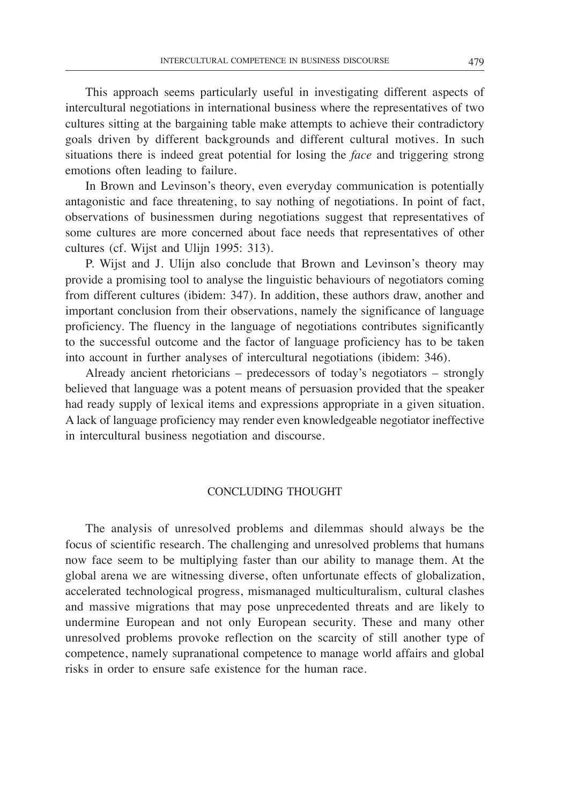This approach seems particularly useful in investigating different aspects of intercultural negotiations in international business where the representatives of two cultures sitting at the bargaining table make attempts to achieve their contradictory goals driven by different backgrounds and different cultural motives. In such situations there is indeed great potential for losing the *face* and triggering strong emotions often leading to failure.

In Brown and Levinson's theory, even everyday communication is potentially antagonistic and face threatening, to say nothing of negotiations. In point of fact, observations of businessmen during negotiations suggest that representatives of some cultures are more concerned about face needs that representatives of other cultures (cf. Wijst and Ulijn 1995: 313).

P. Wijst and J. Ulijn also conclude that Brown and Levinson's theory may provide a promising tool to analyse the linguistic behaviours of negotiators coming from different cultures (ibidem: 347). In addition, these authors draw, another and important conclusion from their observations, namely the significance of language proficiency. The fluency in the language of negotiations contributes significantly to the successful outcome and the factor of language proficiency has to be taken into account in further analyses of intercultural negotiations (ibidem: 346).

Already ancient rhetoricians – predecessors of today's negotiators – strongly believed that language was a potent means of persuasion provided that the speaker had ready supply of lexical items and expressions appropriate in a given situation. A lack of language proficiency may render even knowledgeable negotiator ineffective in intercultural business negotiation and discourse.

## CONCLUDING THOUGHT

The analysis of unresolved problems and dilemmas should always be the focus of scientific research. The challenging and unresolved problems that humans now face seem to be multiplying faster than our ability to manage them. At the global arena we are witnessing diverse, often unfortunate effects of globalization, accelerated technological progress, mismanaged multiculturalism, cultural clashes and massive migrations that may pose unprecedented threats and are likely to undermine European and not only European security. These and many other unresolved problems provoke reflection on the scarcity of still another type of competence, namely supranational competence to manage world affairs and global risks in order to ensure safe existence for the human race.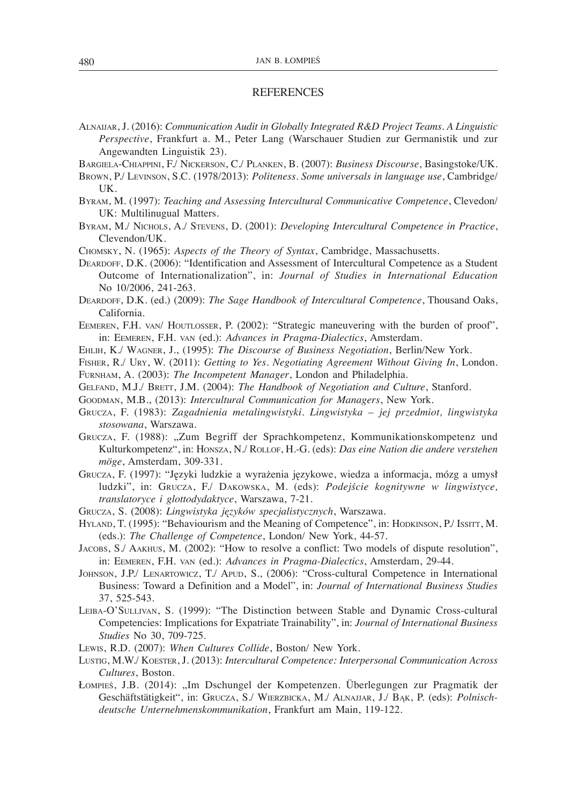### **REFERENCES**

- ALNAIJAR, J. (2016): *Communication Audit in Globally Integrated R&D Project Teams. A Linguistic Perspective*, Frankfurt a. M., Peter Lang (Warschauer Studien zur Germanistik und zur Angewandten Linguistik 23).
- BARGIELA-CHIAPPINI, F./ NICKERSON, C./ PLANKEN, B. (2007): *Business Discourse*, Basingstoke/UK.
- BROWN, P./ LEVINSON, S.C. (1978/2013): *Politeness. Some universals in language use*, Cambridge/ UK.
- BYRAM, M. (1997): *Teaching and Assessing Intercultural Communicative Competence*, Clevedon/ UK: Multilinugual Matters.
- BYRAM, M./ NICHOLS, A./ STEVENS, D. (2001): *Developing Intercultural Competence in Practice*, Clevendon/UK.
- CHOMSKY, N. (1965): *Aspects of the Theory of Syntax*, Cambridge, Massachusetts.
- DEARDOFF, D.K. (2006): "Identification and Assessment of Intercultural Competence as a Student Outcome of Internationalization", in: *Journal of Studies in International Education*  No 10/2006, 241-263.
- DEARDOFF, D.K. (ed.) (2009): *The Sage Handbook of Intercultural Competence*, Thousand Oaks, California.
- EEMEREN, F.H. VAN/ HOUTLOSSER, P. (2002): "Strategic maneuvering with the burden of proof", in: EEMEREN, F.H. VAN (ed.): *Advances in Pragma-Dialectics*, Amsterdam.
- EHLIH, K./ WAGNER, J., (1995): *The Discourse of Business Negotiation*, Berlin/New York.
- FISHER, R./ URY, W. (2011): *Getting to Yes. Negotiating Agreement Without Giving In*, London. FURNHAM, A. (2003): *The Incompetent Manager*, London and Philadelphia.
- GELFAND, M.J./ BRETT, J.M. (2004): *The Handbook of Negotiation and Culture*, Stanford.
- GOODMAN, M.B., (2013): *Intercultural Communication for Managers*, New York.
- GRUCZA, F. (1983): *Zagadnienia metalingwistyki. Lingwistyka jej przedmiot, lingwistyka stosowana*, Warszawa.
- GRUCZA, F. (1988): "Zum Begriff der Sprachkompetenz, Kommunikationskompetenz und Kulturkompetenz", in: HONSZA, N./ ROLLOF, H.-G. (eds): *Das eine Nation die andere verstehen möge*, Amsterdam, 309-331.
- GRUCZA, F. (1997): "Języki ludzkie a wyrażenia językowe, wiedza a informacja, mózg a umysł ludzki", in: GRUCZA, F./ DAKOWSKA, M. (eds): *Podejście kognitywne w lingwistyce, translatoryce i glottodydaktyce*, Warszawa, 7-21.
- GRUCZA, S. (2008): *Lingwistyka języków specjalistycznych*, Warszawa.
- HYLAND, T. (1995): "Behaviourism and the Meaning of Competence", in: HODKINSON, P./ ISSITT, M. (eds.): *The Challenge of Competence*, London/ New York, 44-57.
- JACOBS, S./ AAKHUS, M. (2002): "How to resolve a conflict: Two models of dispute resolution", in: EEMEREN, F.H. VAN (ed.): *Advances in Pragma-Dialectics*, Amsterdam, 29-44.
- JOHNSON, J.P./ LENARTOWICZ, T./ APUD, S., (2006): "Cross-cultural Competence in International Business: Toward a Definition and a Model", in: *Journal of International Business Studies*  37, 525-543.
- LEIBA-O'SULLIVAN, S. (1999): "The Distinction between Stable and Dynamic Cross-cultural Competencies: Implications for Expatriate Trainability", in: *Journal of International Business Studies* No 30, 709-725.
- LEWIS, R.D. (2007): *When Cultures Collide*, Boston/ New York.
- LUSTIG, M.W./ KOESTER, J. (2013): *Intercultural Competence: Interpersonal Communication Across Cultures*, Boston.
- ŁOMPIEŚ, J.B. (2014): "Im Dschungel der Kompetenzen. Überlegungen zur Pragmatik der Geschäftstätigkeit", in: GRUCZA, S./ WIERZBICKA, M./ ALNAJJAR, J./ BĄK, P. (eds): *Polnischdeutsche Unternehmenskommunikation*, Frankfurt am Main, 119-122.